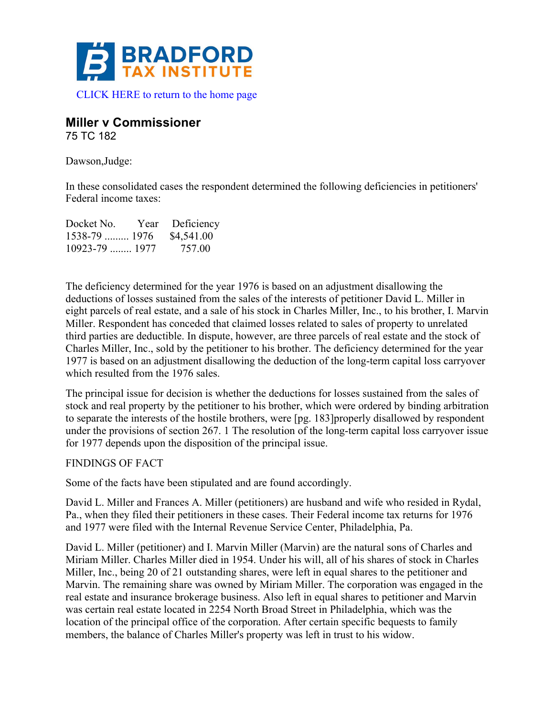

# **Miller v Commissioner**

75 TC 182

Dawson,Judge:

In these consolidated cases the respondent determined the following deficiencies in petitioners' Federal income taxes:

| Docket No.        | Year Deficiency |
|-------------------|-----------------|
| $1538-79$ 1976    | \$4,541.00      |
| $10923 - 79$ 1977 | 757.00          |

The deficiency determined for the year 1976 is based on an adjustment disallowing the deductions of losses sustained from the sales of the interests of petitioner David L. Miller in eight parcels of real estate, and a sale of his stock in Charles Miller, Inc., to his brother, I. Marvin Miller. Respondent has conceded that claimed losses related to sales of property to unrelated third parties are deductible. In dispute, however, are three parcels of real estate and the stock of Charles Miller, Inc., sold by the petitioner to his brother. The deficiency determined for the year 1977 is based on an adjustment disallowing the deduction of the long-term capital loss carryover which resulted from the 1976 sales.

The principal issue for decision is whether the deductions for losses sustained from the sales of stock and real property by the petitioner to his brother, which were ordered by binding arbitration to separate the interests of the hostile brothers, were [pg. 183]properly disallowed by respondent under the provisions of section 267. 1 The resolution of the long-term capital loss carryover issue for 1977 depends upon the disposition of the principal issue.

# FINDINGS OF FACT

Some of the facts have been stipulated and are found accordingly.

David L. Miller and Frances A. Miller (petitioners) are husband and wife who resided in Rydal, Pa., when they filed their petitioners in these cases. Their Federal income tax returns for 1976 and 1977 were filed with the Internal Revenue Service Center, Philadelphia, Pa.

David L. Miller (petitioner) and I. Marvin Miller (Marvin) are the natural sons of Charles and Miriam Miller. Charles Miller died in 1954. Under his will, all of his shares of stock in Charles Miller, Inc., being 20 of 21 outstanding shares, were left in equal shares to the petitioner and Marvin. The remaining share was owned by Miriam Miller. The corporation was engaged in the real estate and insurance brokerage business. Also left in equal shares to petitioner and Marvin was certain real estate located in 2254 North Broad Street in Philadelphia, which was the location of the principal office of the corporation. After certain specific bequests to family members, the balance of Charles Miller's property was left in trust to his widow.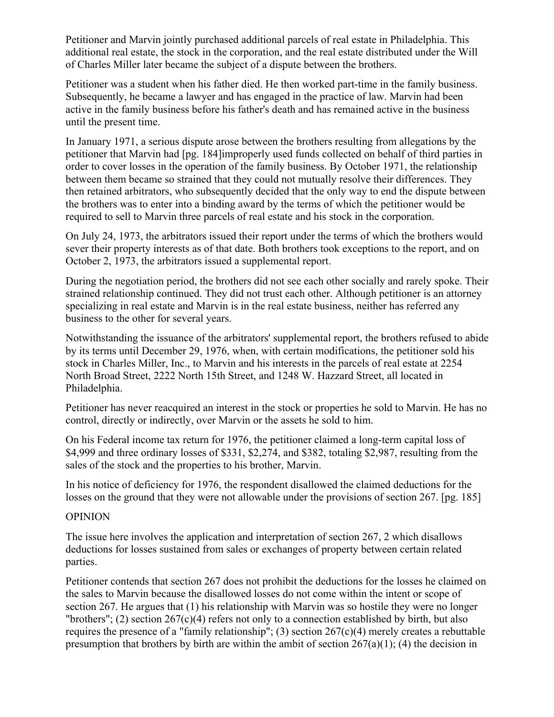Petitioner and Marvin jointly purchased additional parcels of real estate in Philadelphia. This additional real estate, the stock in the corporation, and the real estate distributed under the Will of Charles Miller later became the subject of a dispute between the brothers.

Petitioner was a student when his father died. He then worked part-time in the family business. Subsequently, he became a lawyer and has engaged in the practice of law. Marvin had been active in the family business before his father's death and has remained active in the business until the present time.

In January 1971, a serious dispute arose between the brothers resulting from allegations by the petitioner that Marvin had [pg. 184]improperly used funds collected on behalf of third parties in order to cover losses in the operation of the family business. By October 1971, the relationship between them became so strained that they could not mutually resolve their differences. They then retained arbitrators, who subsequently decided that the only way to end the dispute between the brothers was to enter into a binding award by the terms of which the petitioner would be required to sell to Marvin three parcels of real estate and his stock in the corporation.

On July 24, 1973, the arbitrators issued their report under the terms of which the brothers would sever their property interests as of that date. Both brothers took exceptions to the report, and on October 2, 1973, the arbitrators issued a supplemental report.

During the negotiation period, the brothers did not see each other socially and rarely spoke. Their strained relationship continued. They did not trust each other. Although petitioner is an attorney specializing in real estate and Marvin is in the real estate business, neither has referred any business to the other for several years.

Notwithstanding the issuance of the arbitrators' supplemental report, the brothers refused to abide by its terms until December 29, 1976, when, with certain modifications, the petitioner sold his stock in Charles Miller, Inc., to Marvin and his interests in the parcels of real estate at 2254 North Broad Street, 2222 North 15th Street, and 1248 W. Hazzard Street, all located in Philadelphia.

Petitioner has never reacquired an interest in the stock or properties he sold to Marvin. He has no control, directly or indirectly, over Marvin or the assets he sold to him.

On his Federal income tax return for 1976, the petitioner claimed a long-term capital loss of \$4,999 and three ordinary losses of \$331, \$2,274, and \$382, totaling \$2,987, resulting from the sales of the stock and the properties to his brother, Marvin.

In his notice of deficiency for 1976, the respondent disallowed the claimed deductions for the losses on the ground that they were not allowable under the provisions of section 267. [pg. 185]

### OPINION

The issue here involves the application and interpretation of section 267, 2 which disallows deductions for losses sustained from sales or exchanges of property between certain related parties.

Petitioner contends that section 267 does not prohibit the deductions for the losses he claimed on the sales to Marvin because the disallowed losses do not come within the intent or scope of section 267. He argues that (1) his relationship with Marvin was so hostile they were no longer "brothers"; (2) section 267(c)(4) refers not only to a connection established by birth, but also requires the presence of a "family relationship"; (3) section 267(c)(4) merely creates a rebuttable presumption that brothers by birth are within the ambit of section  $267(a)(1)$ ; (4) the decision in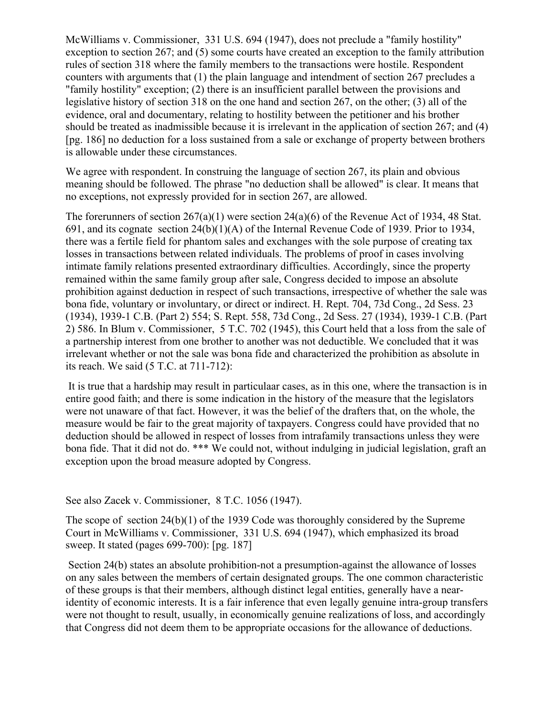McWilliams v. Commissioner, 331 U.S. 694 (1947), does not preclude a "family hostility" exception to section 267; and (5) some courts have created an exception to the family attribution rules of section 318 where the family members to the transactions were hostile. Respondent counters with arguments that (1) the plain language and intendment of section 267 precludes a "family hostility" exception; (2) there is an insufficient parallel between the provisions and legislative history of section 318 on the one hand and section 267, on the other; (3) all of the evidence, oral and documentary, relating to hostility between the petitioner and his brother should be treated as inadmissible because it is irrelevant in the application of section 267; and (4) [pg. 186] no deduction for a loss sustained from a sale or exchange of property between brothers is allowable under these circumstances.

We agree with respondent. In construing the language of section 267, its plain and obvious meaning should be followed. The phrase "no deduction shall be allowed" is clear. It means that no exceptions, not expressly provided for in section 267, are allowed.

The forerunners of section 267(a)(1) were section 24(a)(6) of the Revenue Act of 1934, 48 Stat. 691, and its cognate section 24(b)(1)(A) of the Internal Revenue Code of 1939. Prior to 1934, there was a fertile field for phantom sales and exchanges with the sole purpose of creating tax losses in transactions between related individuals. The problems of proof in cases involving intimate family relations presented extraordinary difficulties. Accordingly, since the property remained within the same family group after sale, Congress decided to impose an absolute prohibition against deduction in respect of such transactions, irrespective of whether the sale was bona fide, voluntary or involuntary, or direct or indirect. H. Rept. 704, 73d Cong., 2d Sess. 23 (1934), 1939-1 C.B. (Part 2) 554; S. Rept. 558, 73d Cong., 2d Sess. 27 (1934), 1939-1 C.B. (Part 2) 586. In Blum v. Commissioner, 5 T.C. 702 (1945), this Court held that a loss from the sale of a partnership interest from one brother to another was not deductible. We concluded that it was irrelevant whether or not the sale was bona fide and characterized the prohibition as absolute in its reach. We said (5 T.C. at 711-712):

It is true that a hardship may result in particulaar cases, as in this one, where the transaction is in entire good faith; and there is some indication in the history of the measure that the legislators were not unaware of that fact. However, it was the belief of the drafters that, on the whole, the measure would be fair to the great majority of taxpayers. Congress could have provided that no deduction should be allowed in respect of losses from intrafamily transactions unless they were bona fide. That it did not do. \*\*\* We could not, without indulging in judicial legislation, graft an exception upon the broad measure adopted by Congress.

### See also Zacek v. Commissioner, 8 T.C. 1056 (1947).

The scope of section 24(b)(1) of the 1939 Code was thoroughly considered by the Supreme Court in McWilliams v. Commissioner, 331 U.S. 694 (1947), which emphasized its broad sweep. It stated (pages 699-700): [pg. 187]

Section 24(b) states an absolute prohibition-not a presumption-against the allowance of losses on any sales between the members of certain designated groups. The one common characteristic of these groups is that their members, although distinct legal entities, generally have a nearidentity of economic interests. It is a fair inference that even legally genuine intra-group transfers were not thought to result, usually, in economically genuine realizations of loss, and accordingly that Congress did not deem them to be appropriate occasions for the allowance of deductions.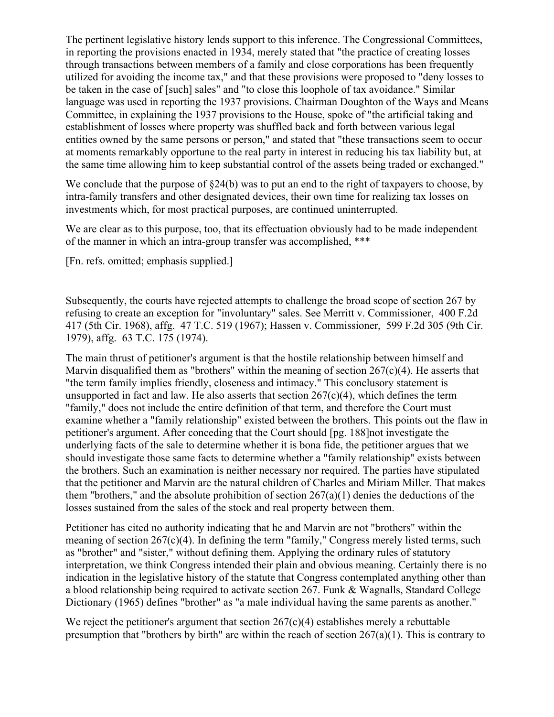The pertinent legislative history lends support to this inference. The Congressional Committees, in reporting the provisions enacted in 1934, merely stated that "the practice of creating losses through transactions between members of a family and close corporations has been frequently utilized for avoiding the income tax," and that these provisions were proposed to "deny losses to be taken in the case of [such] sales" and "to close this loophole of tax avoidance." Similar language was used in reporting the 1937 provisions. Chairman Doughton of the Ways and Means Committee, in explaining the 1937 provisions to the House, spoke of "the artificial taking and establishment of losses where property was shuffled back and forth between various legal entities owned by the same persons or person," and stated that "these transactions seem to occur at moments remarkably opportune to the real party in interest in reducing his tax liability but, at the same time allowing him to keep substantial control of the assets being traded or exchanged."

We conclude that the purpose of  $\S24(b)$  was to put an end to the right of taxpayers to choose, by intra-family transfers and other designated devices, their own time for realizing tax losses on investments which, for most practical purposes, are continued uninterrupted.

We are clear as to this purpose, too, that its effectuation obviously had to be made independent of the manner in which an intra-group transfer was accomplished, \*\*\*

[Fn. refs. omitted; emphasis supplied.]

Subsequently, the courts have rejected attempts to challenge the broad scope of section 267 by refusing to create an exception for "involuntary" sales. See Merritt v. Commissioner, 400 F.2d 417 (5th Cir. 1968), affg. 47 T.C. 519 (1967); Hassen v. Commissioner, 599 F.2d 305 (9th Cir. 1979), affg. 63 T.C. 175 (1974).

The main thrust of petitioner's argument is that the hostile relationship between himself and Marvin disqualified them as "brothers" within the meaning of section  $267(c)(4)$ . He asserts that "the term family implies friendly, closeness and intimacy." This conclusory statement is unsupported in fact and law. He also asserts that section  $267(c)(4)$ , which defines the term "family," does not include the entire definition of that term, and therefore the Court must examine whether a "family relationship" existed between the brothers. This points out the flaw in petitioner's argument. After conceding that the Court should [pg. 188]not investigate the underlying facts of the sale to determine whether it is bona fide, the petitioner argues that we should investigate those same facts to determine whether a "family relationship" exists between the brothers. Such an examination is neither necessary nor required. The parties have stipulated that the petitioner and Marvin are the natural children of Charles and Miriam Miller. That makes them "brothers," and the absolute prohibition of section  $267(a)(1)$  denies the deductions of the losses sustained from the sales of the stock and real property between them.

Petitioner has cited no authority indicating that he and Marvin are not "brothers" within the meaning of section 267(c)(4). In defining the term "family," Congress merely listed terms, such as "brother" and "sister," without defining them. Applying the ordinary rules of statutory interpretation, we think Congress intended their plain and obvious meaning. Certainly there is no indication in the legislative history of the statute that Congress contemplated anything other than a blood relationship being required to activate section 267. Funk & Wagnalls, Standard College Dictionary (1965) defines "brother" as "a male individual having the same parents as another."

We reject the petitioner's argument that section  $267(c)(4)$  establishes merely a rebuttable presumption that "brothers by birth" are within the reach of section 267(a)(1). This is contrary to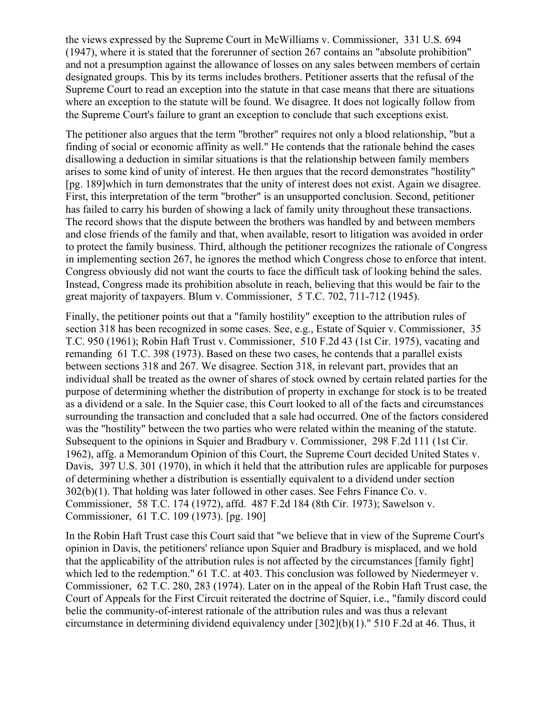the views expressed by the Supreme Court in McWilliams v. Commissioner, 331 U.S. 694 (1947), where it is stated that the forerunner of section 267 contains an "absolute prohibition" and not a presumption against the allowance of losses on any sales between members of certain designated groups. This by its terms includes brothers. Petitioner asserts that the refusal of the Supreme Court to read an exception into the statute in that case means that there are situations where an exception to the statute will be found. We disagree. It does not logically follow from the Supreme Court's failure to grant an exception to conclude that such exceptions exist.

The petitioner also argues that the term "brother" requires not only a blood relationship, "but a finding of social or economic affinity as well." He contends that the rationale behind the cases disallowing a deduction in similar situations is that the relationship between family members arises to some kind of unity of interest. He then argues that the record demonstrates "hostility" [pg. 189]which in turn demonstrates that the unity of interest does not exist. Again we disagree. First, this interpretation of the term "brother" is an unsupported conclusion. Second, petitioner has failed to carry his burden of showing a lack of family unity throughout these transactions. The record shows that the dispute between the brothers was handled by and between members and close friends of the family and that, when available, resort to litigation was avoided in order to protect the family business. Third, although the petitioner recognizes the rationale of Congress in implementing section 267, he ignores the method which Congress chose to enforce that intent. Congress obviously did not want the courts to face the difficult task of looking behind the sales. Instead, Congress made its prohibition absolute in reach, believing that this would be fair to the great majority of taxpayers. Blum v. Commissioner, 5 T.C. 702, 711-712 (1945).

Finally, the petitioner points out that a "family hostility" exception to the attribution rules of section 318 has been recognized in some cases. See, e.g., Estate of Squier v. Commissioner, 35 T.C. 950 (1961); Robin Haft Trust v. Commissioner, 510 F.2d 43 (1st Cir. 1975), vacating and remanding 61 T.C. 398 (1973). Based on these two cases, he contends that a parallel exists between sections 318 and 267. We disagree. Section 318, in relevant part, provides that an individual shall be treated as the owner of shares of stock owned by certain related parties for the purpose of determining whether the distribution of property in exchange for stock is to be treated as a dividend or a sale. In the Squier case, this Court looked to all of the facts and circumstances surrounding the transaction and concluded that a sale had occurred. One of the factors considered was the "hostility" between the two parties who were related within the meaning of the statute. Subsequent to the opinions in Squier and Bradbury v. Commissioner, 298 F.2d 111 (1st Cir. 1962), affg. a Memorandum Opinion of this Court, the Supreme Court decided United States v. Davis, 397 U.S. 301 (1970), in which it held that the attribution rules are applicable for purposes of determining whether a distribution is essentially equivalent to a dividend under section 302(b)(1). That holding was later followed in other cases. See Fehrs Finance Co. v. Commissioner, 58 T.C. 174 (1972), affd. 487 F.2d 184 (8th Cir. 1973); Sawelson v. Commissioner, 61 T.C. 109 (1973). [pg. 190]

In the Robin Haft Trust case this Court said that "we believe that in view of the Supreme Court's opinion in Davis, the petitioners' reliance upon Squier and Bradbury is misplaced, and we hold that the applicability of the attribution rules is not affected by the circumstances [family fight] which led to the redemption." 61 T.C. at 403. This conclusion was followed by Niedermeyer v. Commissioner, 62 T.C. 280, 283 (1974). Later on in the appeal of the Robin Haft Trust case, the Court of Appeals for the First Circuit reiterated the doctrine of Squier, i.e., "family discord could belie the community-of-interest rationale of the attribution rules and was thus a relevant circumstance in determining dividend equivalency under [302](b)(1)." 510 F.2d at 46. Thus, it